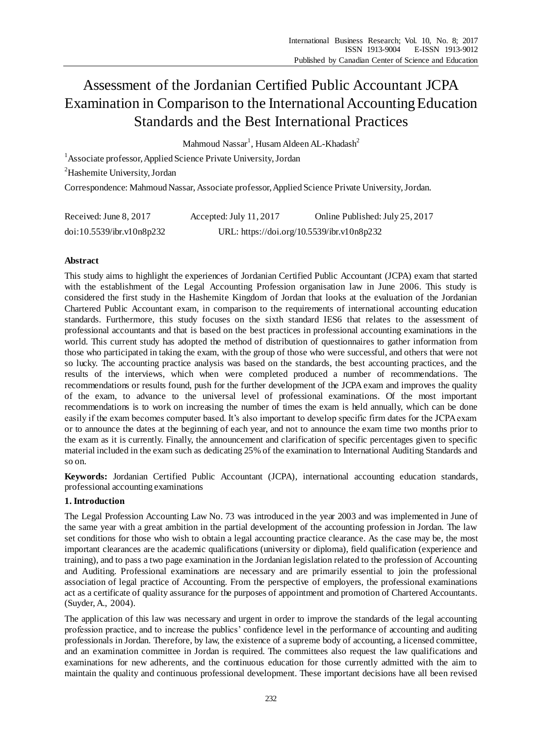# Assessment of the Jordanian Certified Public Accountant JCPA Examination in Comparison to the International Accounting Education Standards and the Best International Practices

Mahmoud Nassar $^1$ , Husam Aldeen AL-Khadash $^2$ 

<sup>1</sup> Associate professor, Applied Science Private University, Jordan

<sup>2</sup>Hashemite University, Jordan

Correspondence: Mahmoud Nassar, Associate professor, Applied Science Private University, Jordan.

| Received: June 8, 2017    | Accepted: July 11, 2017 | Online Published: July 25, 2017            |
|---------------------------|-------------------------|--------------------------------------------|
| doi:10.5539/ibr.v10n8p232 |                         | URL: https://doi.org/10.5539/ibr.v10n8p232 |

# **Abstract**

This study aims to highlight the experiences of Jordanian Certified Public Accountant (JCPA) exam that started with the establishment of the Legal Accounting Profession organisation law in June 2006. This study is considered the first study in the Hashemite Kingdom of Jordan that looks at the evaluation of the Jordanian Chartered Public Accountant exam, in comparison to the requirements of international accounting education standards. Furthermore, this study focuses on the sixth standard IES6 that relates to the assessment of professional accountants and that is based on the best practices in professional accounting examinations in the world. This current study has adopted the method of distribution of questionnaires to gather information from those who participated in taking the exam, with the group of those who were successful, and others that were not so lucky. The accounting practice analysis was based on the standards, the best accounting practices, and the results of the interviews, which when were completed produced a number of recommendations. The recommendations or results found, push for the further development of the JCPA exam and improves the quality of the exam, to advance to the universal level of professional examinations. Of the most important recommendations is to work on increasing the number of times the exam is held annually, which can be done easily if the exam becomes computer based. It's also important to develop specific firm dates for the JCPA exam or to announce the dates at the beginning of each year, and not to announce the exam time two months prior to the exam as it is currently. Finally, the announcement and clarification of specific percentages given to specific material included in the exam such as dedicating 25% of the examination to International Auditing Standards and so on.

**Keywords:** Jordanian Certified Public Accountant (JCPA), international accounting education standards, professional accounting examinations

# **1. Introduction**

The Legal Profession Accounting Law No. 73 was introduced in the year 2003 and was implemented in June of the same year with a great ambition in the partial development of the accounting profession in Jordan. The law set conditions for those who wish to obtain a legal accounting practice clearance. As the case may be, the most important clearances are the academic qualifications (university or diploma), field qualification (experience and training), and to pass a two page examination in the Jordanian legislation related to the profession of Accounting and Auditing. Professional examinations are necessary and are primarily essential to join the professional association of legal practice of Accounting. From the perspective of employers, the professional examinations act as a certificate of quality assurance for the purposes of appointment and promotion of Chartered Accountants. (Suyder, A., 2004).

The application of this law was necessary and urgent in order to improve the standards of the legal accounting profession practice, and to increase the publics' confidence level in the performance of accounting and auditing professionals in Jordan. Therefore, by law, the existence of a supreme body of accounting, a licensed committee, and an examination committee in Jordan is required. The committees also request the law qualifications and examinations for new adherents, and the continuous education for those currently admitted with the aim to maintain the quality and continuous professional development. These important decisions have all been revised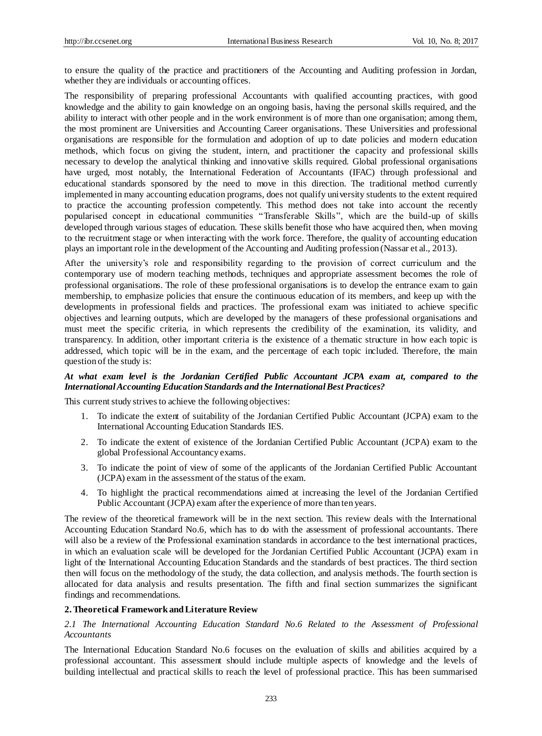to ensure the quality of the practice and practitioners of the Accounting and Auditing profession in Jordan, whether they are individuals or accounting offices.

The responsibility of preparing professional Accountants with qualified accounting practices, with good knowledge and the ability to gain knowledge on an ongoing basis, having the personal skills required, and the ability to interact with other people and in the work environment is of more than one organisation; among them, the most prominent are Universities and Accounting Career organisations. These Universities and professional organisations are responsible for the formulation and adoption of up to date policies and modern education methods, which focus on giving the student, intern, and practitioner the capacity and professional skills necessary to develop the analytical thinking and innovative skills required. Global professional organisations have urged, most notably, the International Federation of Accountants (IFAC) through professional and educational standards sponsored by the need to move in this direction. The traditional method currently implemented in many accounting education programs, does not qualify university students to the extent required to practice the accounting profession competently. This method does not take into account the recently popularised concept in educational communities ''Transferable Skills'', which are the build-up of skills developed through various stages of education. These skills benefit those who have acquired then, when moving to the recruitment stage or when interacting with the work force. Therefore, the quality of accounting education plays an important role in the development of the Accounting and Auditing profession (Nassar et al., 2013).

After the university's role and responsibility regarding to the provision of correct curriculum and the contemporary use of modern teaching methods, techniques and appropriate assessment becomes the role of professional organisations. The role of these professional organisations is to develop the entrance exam to gain membership, to emphasize policies that ensure the continuous education of its members, and keep up with the developments in professional fields and practices. The professional exam was initiated to achieve specific objectives and learning outputs, which are developed by the managers of these professional organisations and must meet the specific criteria, in which represents the credibility of the examination, its validity, and transparency. In addition, other important criteria is the existence of a thematic structure in how each topic is addressed, which topic will be in the exam, and the percentage of each topic included. Therefore, the main question of the study is:

## *At what exam level is the Jordanian Certified Public Accountant JCPA exam at, compared to the International Accounting Education Standards and the International Best Practices?*

This current study strives to achieve the following objectives:

- 1. To indicate the extent of suitability of the Jordanian Certified Public Accountant (JCPA) exam to the International Accounting Education Standards IES.
- 2. To indicate the extent of existence of the Jordanian Certified Public Accountant (JCPA) exam to the global Professional Accountancy exams.
- 3. To indicate the point of view of some of the applicants of the Jordanian Certified Public Accountant (JCPA) exam in the assessment of the status of the exam.
- 4. To highlight the practical recommendations aimed at increasing the level of the Jordanian Certified Public Accountant (JCPA) exam after the experience of more than ten years.

The review of the theoretical framework will be in the next section. This review deals with the International Accounting Education Standard No.6, which has to do with the assessment of professional accountants. There will also be a review of the Professional examination standards in accordance to the best international practices, in which an evaluation scale will be developed for the Jordanian Certified Public Accountant (JCPA) exam in light of the International Accounting Education Standards and the standards of best practices. The third section then will focus on the methodology of the study, the data collection, and analysis methods. The fourth section is allocated for data analysis and results presentation. The fifth and final section summarizes the significant findings and recommendations.

## **2. Theoretical Framework and Literature Review**

*2.1 The International Accounting Education Standard No.6 Related to the Assessment of Professional Accountants*

The International Education Standard No.6 focuses on the evaluation of skills and abilities acquired by a professional accountant. This assessment should include multiple aspects of knowledge and the levels of building intellectual and practical skills to reach the level of professional practice. This has been summarised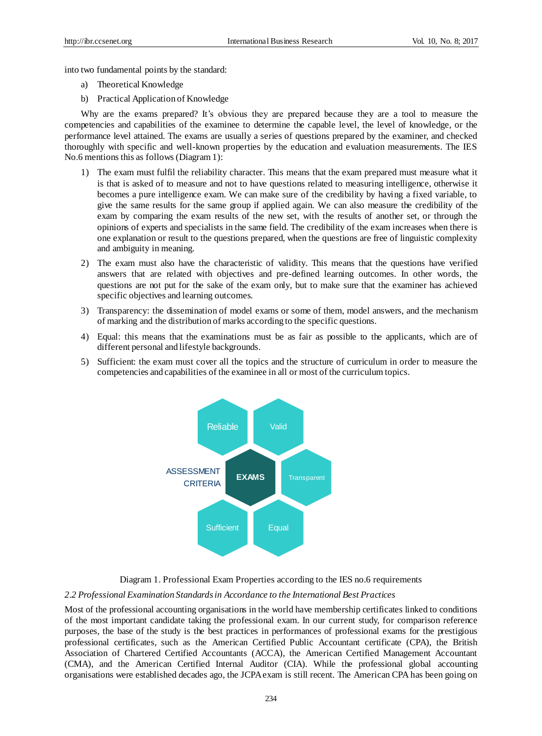into two fundamental points by the standard:

- a) Theoretical Knowledge
- b) Practical Application of Knowledge

Why are the exams prepared? It's obvious they are prepared because they are a tool to measure the competencies and capabilities of the examinee to determine the capable level, the level of knowledge, or the performance level attained. The exams are usually a series of questions prepared by the examiner, and checked thoroughly with specific and well-known properties by the education and evaluation measurements. The IES No.6 mentions this as follows (Diagram 1):

- 1) The exam must fulfil the reliability character. This means that the exam prepared must measure what it is that is asked of to measure and not to have questions related to measuring intelligence, otherwise it becomes a pure intelligence exam. We can make sure of the credibility by having a fixed variable, to give the same results for the same group if applied again. We can also measure the credibility of the exam by comparing the exam results of the new set, with the results of another set, or through the opinions of experts and specialists in the same field. The credibility of the exam increases when there is one explanation or result to the questions prepared, when the questions are free of linguistic complexity and ambiguity in meaning.
- 2) The exam must also have the characteristic of validity. This means that the questions have verified answers that are related with objectives and pre-defined learning outcomes. In other words, the questions are not put for the sake of the exam only, but to make sure that the examiner has achieved specific objectives and learning outcomes.
- 3) Transparency: the dissemination of model exams or some of them, model answers, and the mechanism of marking and the distribution of marks according to the specific questions.
- 4) Equal: this means that the examinations must be as fair as possible to the applicants, which are of different personal and lifestyle backgrounds.
- 5) Sufficient: the exam must cover all the topics and the structure of curriculum in order to measure the competencies and capabilities of the examinee in all or most of the curriculum topics.



Diagram 1. Professional Exam Properties according to the IES no.6 requirements

#### *2.2 Professional Examination Standards in Accordance to the International Best Practices*

Most of the professional accounting organisations in the world have membership certificates linked to conditions of the most important candidate taking the professional exam. In our current study, for comparison reference purposes, the base of the study is the best practices in performances of professional exams for the prestigious professional certificates, such as the American Certified Public Accountant certificate (CPA), the British Association of Chartered Certified Accountants (ACCA), the American Certified Management Accountant (CMA), and the American Certified Internal Auditor (CIA). While the professional global accounting organisations were established decades ago, the JCPA exam is still recent. The American CPA has been going on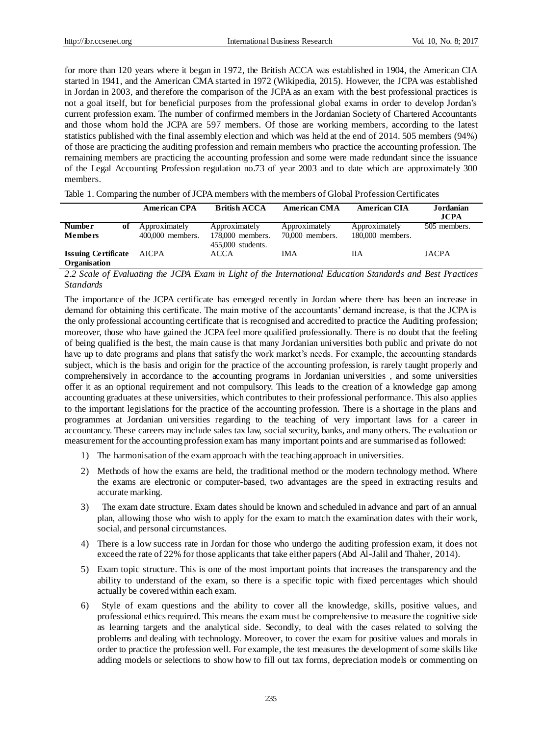for more than 120 years where it began in 1972, the British ACCA was established in 1904, the American CIA started in 1941, and the American CMA started in 1972 (Wikipedia, 2015). However, the JCPA was established in Jordan in 2003, and therefore the comparison of the JCPA as an exam with the best professional practices is not a goal itself, but for beneficial purposes from the professional global exams in order to develop Jordan's current profession exam. The number of confirmed members in the Jordanian Society of Chartered Accountants and those whom hold the JCPA are 597 members. Of those are working members, according to the latest statistics published with the final assembly election and which was held at the end of 2014. 505 members (94%) of those are practicing the auditing profession and remain members who practice the accounting profession. The remaining members are practicing the accounting profession and some were made redundant since the issuance of the Legal Accounting Profession regulation no.73 of year 2003 and to date which are approximately 300 members.

Table 1. Comparing the number of JCPA members with the members of Global Profession Certificates

|                                            | <b>American CPA</b>               | <b>British ACCA</b>                                    | <b>American CMA</b>                | <b>American CIA</b>                 | <b>Jordanian</b><br><b>JCPA</b> |
|--------------------------------------------|-----------------------------------|--------------------------------------------------------|------------------------------------|-------------------------------------|---------------------------------|
| <b>Number</b><br>of<br><b>Members</b>      | Approximately<br>400,000 members. | Approximately<br>178,000 members.<br>455,000 students. | Approximately<br>$70,000$ members. | Approximately<br>$180,000$ members. | 505 members.                    |
| <b>Issuing Certificate</b><br>Organisation | AICPA                             | <b>ACCA</b>                                            | <b>IMA</b>                         | ПA                                  | <b>JACPA</b>                    |

*2.2 Scale of Evaluating the JCPA Exam in Light of the International Education Standards and Best Practices Standards*

The importance of the JCPA certificate has emerged recently in Jordan where there has been an increase in demand for obtaining this certificate. The main motive of the accountants' demand increase, is that the JCPA is the only professional accounting certificate that is recognised and accredited to practice the Auditing profession; moreover, those who have gained the JCPA feel more qualified professionally. There is no doubt that the feeling of being qualified is the best, the main cause is that many Jordanian universities both public and private do not have up to date programs and plans that satisfy the work market's needs. For example, the accounting standards subject, which is the basis and origin for the practice of the accounting profession, is rarely taught properly and comprehensively in accordance to the accounting programs in Jordanian universities , and some universities offer it as an optional requirement and not compulsory. This leads to the creation of a knowledge gap among accounting graduates at these universities, which contributes to their professional performance. This also applies to the important legislations for the practice of the accounting profession. There is a shortage in the plans and programmes at Jordanian universities regarding to the teaching of very important laws for a career in accountancy. These careers may include sales tax law, social security, banks, and many others. The evaluation or measurement for the accounting profession exam has many important points and are summarised as followed:

- 1) The harmonisation of the exam approach with the teaching approach in universities.
- 2) Methods of how the exams are held, the traditional method or the modern technology method. Where the exams are electronic or computer-based, two advantages are the speed in extracting results and accurate marking.
- 3) The exam date structure. Exam dates should be known and scheduled in advance and part of an annual plan, allowing those who wish to apply for the exam to match the examination dates with their work, social, and personal circumstances.
- 4) There is a low success rate in Jordan for those who undergo the auditing profession exam, it does not exceed the rate of 22% for those applicants that take either papers (Abd Al-Jalil and Thaher, 2014).
- 5) Exam topic structure. This is one of the most important points that increases the transparency and the ability to understand of the exam, so there is a specific topic with fixed percentages which should actually be covered within each exam.
- 6) Style of exam questions and the ability to cover all the knowledge, skills, positive values, and professional ethics required. This means the exam must be comprehensive to measure the cognitive side as learning targets and the analytical side. Secondly, to deal with the cases related to solving the problems and dealing with technology. Moreover, to cover the exam for positive values and morals in order to practice the profession well. For example, the test measures the development of some skills like adding models or selections to show how to fill out tax forms, depreciation models or commenting on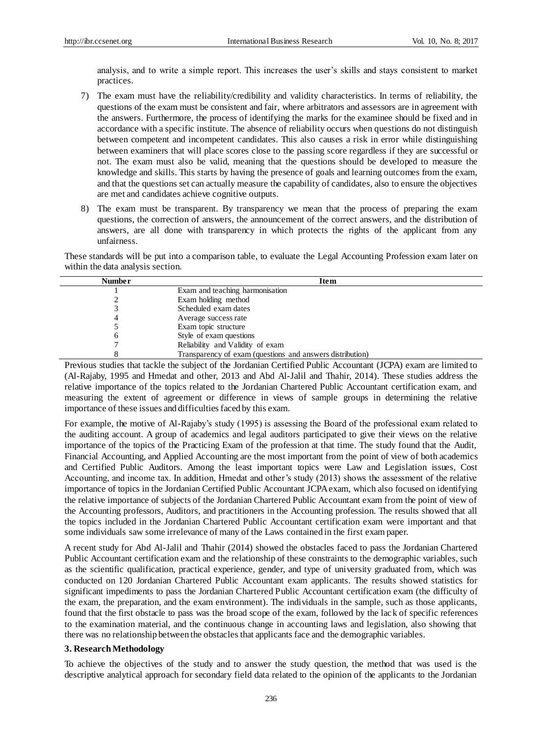analysis, and to write a simple report. This increases the user's skills and stays consistent to market practices.

- 7) The exam must have the reliability/credibility and validity characteristics. In terms of reliability, the questions of the exam must be consistent and fair, where arbitrators and assessors are in agreement with the answers. Furthermore, the process of identifying the marks for the examinee should be fixed and in accordance with a specific institute. The absence of reliability occurs when questions do not distinguish between competent and incompetent candidates. This also causes a risk in error while distinguishing between examiners that will place scores close to the passing score regardless if they are successful or not. The exam must also be valid, meaning that the questions should be developed to measure the knowledge and skills. This starts by having the presence of goals and learning outcomes from the exam, and that the questions set can actually measure the capability of candidates, also to ensure the objectives are met and candidates achieve cognitive outputs.
- 8) The exam must be transparent. By transparency we mean that the process of preparing the exam questions, the correction of answers, the announcement of the correct answers, and the distribution of answers, are all done with transparency in which protects the rights of the applicant from any unfairness.

These standards will be put into a comparison table, to evaluate the Legal Accounting Profession exam later on within the data analysis section.

| Number | <b>Item</b>                                               |
|--------|-----------------------------------------------------------|
|        | Exam and teaching harmonisation                           |
|        | Exam holding method                                       |
|        | Scheduled exam dates                                      |
|        | Average success rate                                      |
|        | Exam topic structure                                      |
|        | Style of exam questions                                   |
|        | Reliability and Validity of exam                          |
|        | Transparency of exam (questions and answers distribution) |

Previous studies that tackle the subject of the Jordanian Certified Public Accountant (JCPA) exam are limited to (Al-Rajaby, 1995 and Hmedat and other, 2013 and Abd Al-Jalil and Thahir, 2014). These studies address the relative importance of the topics related to the Jordanian Chartered Public Accountant certification exam, and measuring the extent of agreement or difference in views of sample groups in determining the relative importance of these issues and difficulties faced by this exam.

For example, the motive of Al-Rajaby's study (1995) is assessing the Board of the professional exam related to the auditing account. A group of academics and legal auditors participated to give their views on the relative importance of the topics of the Practicing Exam of the profession at that time. The study found that the Audit, Financial Accounting, and Applied Accounting are the most important from the point of view of both academics and Certified Public Auditors. Among the least important topics were Law and Legislation issues, Cost Accounting, and income tax. In addition, Hmedat and other's study (2013) shows the assessment of the relative importance of topics in the Jordanian Certified Public Accountant JCPA exam, which also focused on identifying the relative importance of subjects of the Jordanian Chartered Public Accountant exam from the point of view of the Accounting professors, Auditors, and practitioners in the Accounting profession. The results showed that all the topics included in the Jordanian Chartered Public Accountant certification exam were important and that some individuals saw some irrelevance of many of the Laws contained in the first exam paper.

A recent study for Abd Al-Jalil and Thahir (2014) showed the obstacles faced to pass the Jordanian Chartered Public Accountant certification exam and the relationship of these constraints to the demographic variables, such as the scientific qualification, practical experience, gender, and type of university graduated from, which was conducted on 120 Jordanian Chartered Public Accountant exam applicants. The results showed statistics for significant impediments to pass the Jordanian Chartered Public Accountant certification exam (the difficulty of the exam, the preparation, and the exam environment). The individuals in the sample, such as those applicants, found that the first obstacle to pass was the broad scope of the exam, followed by the lack of specific references to the examination material, and the continuous change in accounting laws and legislation, also showing that there was no relationship between the obstacles that applicants face and the demographic variables.

#### **3. Research Methodology**

To achieve the objectives of the study and to answer the study question, the method that was used is the descriptive analytical approach for secondary field data related to the opinion of the applicants to the Jordanian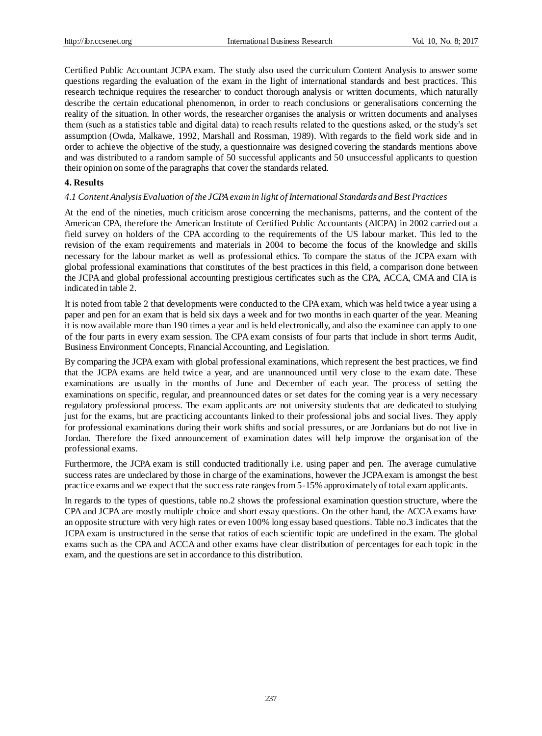Certified Public Accountant JCPA exam. The study also used the curriculum Content Analysis to answer some questions regarding the evaluation of the exam in the light of international standards and best practices. This research technique requires the researcher to conduct thorough analysis or written documents, which naturally describe the certain educational phenomenon, in order to reach conclusions or generalisations concerning the reality of the situation. In other words, the researcher organises the analysis or written documents and analyses them (such as a statistics table and digital data) to reach results related to the questions asked, or the study's set assumption (Owda, Malkawe, 1992, Marshall and Rossman, 1989). With regards to the field work side and in order to achieve the objective of the study, a questionnaire was designed covering the standards mentions above and was distributed to a random sample of 50 successful applicants and 50 unsuccessful applicants to question their opinion on some of the paragraphs that cover the standards related.

## **4. Results**

## *4.1 Content Analysis Evaluation of the JCPA exam in light of International Standards and Best Practices*

At the end of the nineties, much criticism arose concerning the mechanisms, patterns, and the content of the American CPA, therefore the American Institute of Certified Public Accountants (AICPA) in 2002 carried out a field survey on holders of the CPA according to the requirements of the US labour market. This led to the revision of the exam requirements and materials in 2004 to become the focus of the knowledge and skills necessary for the labour market as well as professional ethics. To compare the status of the JCPA exam with global professional examinations that constitutes of the best practices in this field, a comparison done between the JCPA and global professional accounting prestigious certificates such as the CPA, ACCA, CMA and CIA is indicated in table 2.

It is noted from table 2 that developments were conducted to the CPA exam, which was held twice a year using a paper and pen for an exam that is held six days a week and for two months in each quarter of the year. Meaning it is now available more than 190 times a year and is held electronically, and also the examinee can apply to one of the four parts in every exam session. The CPA exam consists of four parts that include in short terms Audit, Business Environment Concepts, Financial Accounting, and Legislation.

By comparing the JCPA exam with global professional examinations, which represent the best practices, we find that the JCPA exams are held twice a year, and are unannounced until very close to the exam date. These examinations are usually in the months of June and December of each year. The process of setting the examinations on specific, regular, and preannounced dates or set dates for the coming year is a very necessary regulatory professional process. The exam applicants are not university students that are dedicated to studying just for the exams, but are practicing accountants linked to their professional jobs and social lives. They apply for professional examinations during their work shifts and social pressures, or are Jordanians but do not live in Jordan. Therefore the fixed announcement of examination dates will help improve the organisation of the professional exams.

Furthermore, the JCPA exam is still conducted traditionally i.e. using paper and pen. The average cumulative success rates are undeclared by those in charge of the examinations, however the JCPA exam is amongst the best practice exams and we expect that the success rate ranges from 5-15% approximately of total exam applicants.

In regards to the types of questions, table no.2 shows the professional examination question structure, where the CPA and JCPA are mostly multiple choice and short essay questions. On the other hand, the ACCA exams have an opposite structure with very high rates or even 100% long essay based questions. Table no.3 indicates that the JCPA exam is unstructured in the sense that ratios of each scientific topic are undefined in the exam. The global exams such as the CPA and ACCA and other exams have clear distribution of percentages for each topic in the exam, and the questions are set in accordance to this distribution.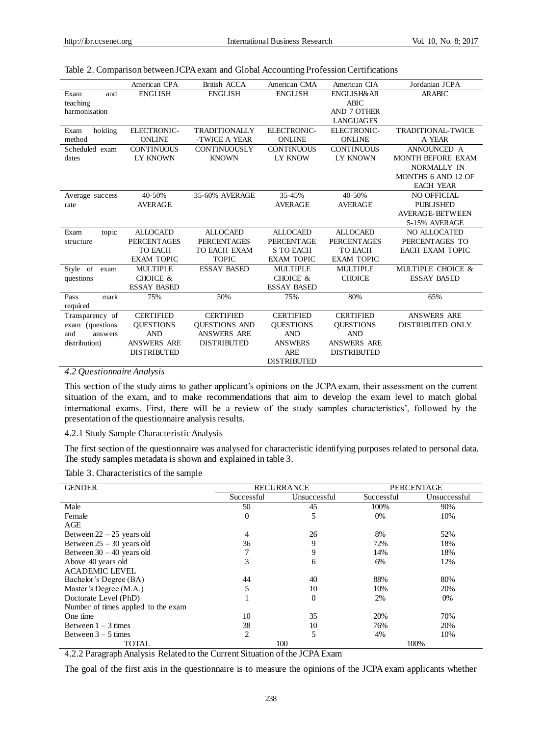|                  | American CPA        | British ACCA         | American CMA       | American CIA          | Jordanian JCPA           |
|------------------|---------------------|----------------------|--------------------|-----------------------|--------------------------|
| Exam<br>and      | <b>ENGLISH</b>      | <b>ENGLISH</b>       | <b>ENGLISH</b>     | <b>ENGLISH&amp;AR</b> | <b>ARABIC</b>            |
| teaching         |                     |                      |                    | <b>ABIC</b>           |                          |
| harmonisation    |                     |                      |                    | AND 7 OTHER           |                          |
|                  |                     |                      |                    | <b>LANGUAGES</b>      |                          |
| holding<br>Exam  | <b>ELECTRONIC-</b>  | <b>TRADITIONALLY</b> | <b>ELECTRONIC-</b> | ELECTRONIC-           | <b>TRADITIONAL-TWICE</b> |
| method           | <b>ONLINE</b>       | -TWICE A YEAR        | <b>ONLINE</b>      | <b>ONLINE</b>         | A YEAR                   |
| Scheduled exam   | <b>CONTINUOUS</b>   | <b>CONTINUOUSLY</b>  | <b>CONTINUOUS</b>  | <b>CONTINUOUS</b>     | ANNOUNCED A              |
| dates            | LY KNOWN            | <b>KNOWN</b>         | LY KNOW            | LY KNOWN              | MONTH BEFORE EXAM        |
|                  |                     |                      |                    |                       | $-$ NORMALLY IN          |
|                  |                     |                      |                    |                       | MONTHS 6 AND 12 OF       |
|                  |                     |                      |                    |                       | <b>EACH YEAR</b>         |
| Average success  | 40-50%              | 35-60% AVERAGE       | 35-45%             | 40-50%                | <b>NO OFFICIAL</b>       |
| rate             | <b>AVERAGE</b>      |                      | <b>AVERAGE</b>     | <b>AVERAGE</b>        | <b>PUBLISHED</b>         |
|                  |                     |                      |                    |                       | <b>AVERAGE-BETWEEN</b>   |
|                  |                     |                      |                    |                       | 5-15% AVERAGE            |
| Exam<br>topic    | <b>ALLOCAED</b>     | <b>ALLOCAED</b>      | <b>ALLOCAED</b>    | <b>ALLOCAED</b>       | <b>NO ALLOCATED</b>      |
| structure        | <b>PERCENTAGES</b>  | <b>PERCENTAGES</b>   | <b>PERCENTAGE</b>  | <b>PERCENTAGES</b>    | PERCENTAGES TO           |
|                  | <b>TO EACH</b>      | TO EACH EXAM         | <b>S TO EACH</b>   | <b>TO EACH</b>        | <b>EACH EXAM TOPIC</b>   |
|                  | <b>EXAM TOPIC</b>   | <b>TOPIC</b>         | <b>EXAM TOPIC</b>  | <b>EXAM TOPIC</b>     |                          |
| Style of<br>exam | <b>MULTIPLE</b>     | <b>ESSAY BASED</b>   | MULTIPLE           | <b>MULTIPLE</b>       | MULTIPLE CHOICE &        |
| questions        | <b>CHOICE &amp;</b> |                      | CHOICE &           | <b>CHOICE</b>         | <b>ESSAY BASED</b>       |
|                  | <b>ESSAY BASED</b>  |                      | <b>ESSAY BASED</b> |                       |                          |
| mark<br>Pass     | 75%                 | 50%                  | 75%                | 80%                   | 65%                      |
| required         |                     |                      |                    |                       |                          |
| Transparency of  | <b>CERTIFIED</b>    | <b>CERTIFIED</b>     | <b>CERTIFIED</b>   | <b>CERTIFIED</b>      | <b>ANSWERS ARE</b>       |
| exam (questions  | <b>OUESTIONS</b>    | <b>OUESTIONS AND</b> | <b>OUESTIONS</b>   | <b>OUESTIONS</b>      | DISTRIBUTED ONLY         |
| and<br>answers   | <b>AND</b>          | <b>ANSWERS ARE</b>   | <b>AND</b>         | <b>AND</b>            |                          |
| distribution)    | <b>ANSWERS ARE</b>  | <b>DISTRIBUTED</b>   | <b>ANSWERS</b>     | <b>ANSWERS ARE</b>    |                          |
|                  | <b>DISTRIBUTED</b>  |                      | <b>ARE</b>         | <b>DISTRIBUTED</b>    |                          |
|                  |                     |                      | <b>DISTRIBUTED</b> |                       |                          |

#### Table 2. Comparison between JCPA exam and Global Accounting Profession Certifications

## *4.2 Questionnaire Analysis*

This sec**t**ion of the study aims to gather applicant's opinions on the JCPA exam, their assessment on the current situation of the exam, and to make recommendations that aim to develop the exam level to match global international exams. First, there will be a review of the study samples characteristics', followed by the presentation of the questionnaire analysis results.

#### 4.2.1 Study Sample Characteristic Analysis

The first section of the questionnaire was analysed for characteristic identifying purposes related to personal data. The study samples metadata is shown and explained in table 3.

|  |  | Table 3. Characteristics of the sample |  |  |  |
|--|--|----------------------------------------|--|--|--|
|--|--|----------------------------------------|--|--|--|

| <b>GENDER</b>                       | <b>RECURRANCE</b> |              |            | <b>PERCENTAGE</b> |
|-------------------------------------|-------------------|--------------|------------|-------------------|
|                                     | Successful        | Unsuccessful | Successful | Unsuccessful      |
| Male                                | 50                | 45           | 100%       | 90%               |
| Female                              | $\theta$          | 5            | $0\%$      | 10%               |
| AGE                                 |                   |              |            |                   |
| Between $22 - 25$ years old         | 4                 | 26           | 8%         | 52%               |
| Between $25 - 30$ years old         | 36                | 9            | 72%        | 18%               |
| Between $30 - 40$ years old         |                   | 9            | 14%        | 18%               |
| Above 40 years old                  | 3                 | 6            | 6%         | 12%               |
| <b>ACADEMIC LEVEL</b>               |                   |              |            |                   |
| Bachelor's Degree (BA)              | 44                | 40           | 88%        | 80%               |
| Master's Degree (M.A.)              |                   | 10           | 10%        | 20%               |
| Doctorate Level (PhD)               |                   | $\theta$     | 2%         | 0%                |
| Number of times applied to the exam |                   |              |            |                   |
| One time                            | 10                | 35           | 20%        | 70%               |
| Between $1 - 3$ times               | 38                | 10           | 76%        | 20%               |
| Between $3 - 5$ times               | $\overline{c}$    | 5            | 4%         | 10%               |
| TOTAL                               |                   | 100          |            | 100%              |

4.2.2 Paragraph Analysis Related to the Current Situation of the JCPA Exam

The goal of the first axis in the questionnaire is to measure the opinions of the JCPA exam applicants whether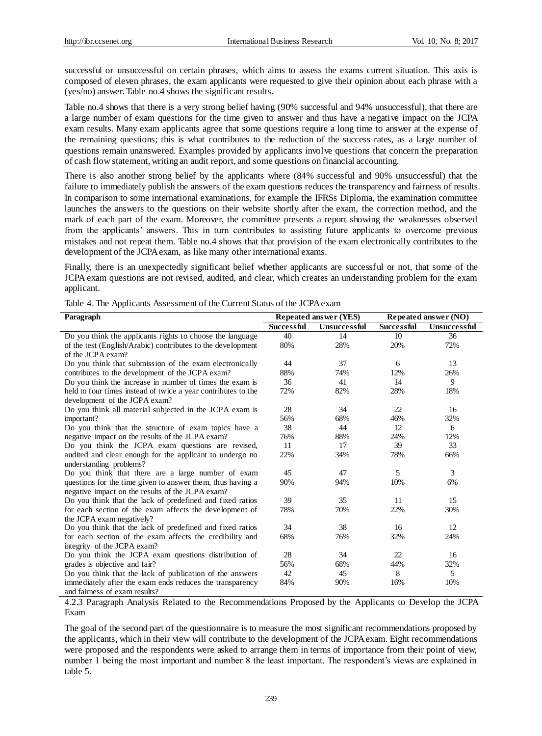successful or unsuccessful on certain phrases, which aims to assess the exams current situation. This axis is composed of eleven phrases, the exam applicants were requested to give their opinion about each phrase with a (yes/no) answer. Table no.4 shows the significant results.

Table no.4 shows that there is a very strong belief having (90% successful and 94% unsuccessful), that there are a large number of exam questions for the time given to answer and thus have a negative impact on the JCPA exam results. Many exam applicants agree that some questions require a long time to answer at the expense of the remaining questions; this is what contributes to the reduction of the success rates, as a large number of questions remain unanswered. Examples provided by applicants involve questions that concern the preparation of cash flow statement, writing an audit report, and some questions on financial accounting.

There is also another strong belief by the applicants where (84% successful and 90% unsuccessful) that the failure to immediately publish the answers of the exam questions reduces the transparency and fairness of results. In comparison to some international examinations, for example the IFRSs Diploma, the examination committee launches the answers to the questions on their website shortly after the exam, the correction method, and the mark of each part of the exam. Moreover, the committee presents a report showing the weaknesses observed from the applicants' answers. This in turn contributes to assisting future applicants to overcome previous mistakes and not repeat them. Table no.4 shows that that provision of the exam electronically contributes to the development of the JCPA exam, as like many other international exams.

Finally, there is an unexpectedly significant belief whether applicants are successful or not, that some of the JCPA exam questions are not revised, audited, and clear, which creates an understanding problem for the exam applicant.

| Paragraph                                                     | <b>Repeated answer (YES)</b> |              |                   | Repeated answer (NO) |
|---------------------------------------------------------------|------------------------------|--------------|-------------------|----------------------|
|                                                               | <b>Successful</b>            | Unsuccessful | <b>Successful</b> | Unsuccessful         |
| Do you think the applicants rights to choose the language     | 40                           | 14           | 10                | 36                   |
| of the test (English/Arabic) contributes to the development   | 80%                          | 28%          | 20%               | 72%                  |
| of the JCPA exam?                                             |                              |              |                   |                      |
| Do you think that submission of the exam electronically       | 44                           | 37           | 6                 | 13                   |
| contributes to the development of the JCPA exam?              | 88%                          | 74%          | 12%               | 26%                  |
| Do you think the increase in number of times the exam is      | 36                           | 41           | 14                | 9                    |
| held to four times instead of twice a year contributes to the | 72%                          | 82%          | 28%               | 18%                  |
| development of the JCPA exam?                                 |                              |              |                   |                      |
| Do you think all material subjected in the JCPA exam is       | 28                           | 34           | 22                | 16                   |
| important?                                                    | 56%                          | 68%          | 46%               | 32%                  |
| Do you think that the structure of exam topics have a         | 38                           | 44           | 12                | 6                    |
| negative impact on the results of the JCPA exam?              | 76%                          | 88%          | 24%               | 12%                  |
| Do you think the JCPA exam questions are revised,             | 11                           | 17           | 39                | 33                   |
| audited and clear enough for the applicant to undergo no      | 22%                          | 34%          | 78%               | 66%                  |
| understanding problems?                                       |                              |              |                   |                      |
| Do you think that there are a large number of exam            | 45                           | 47           | 5                 | 3                    |
| questions for the time given to answer them, thus having a    | 90%                          | 94%          | 10%               | 6%                   |
| negative impact on the results of the JCPA exam?              |                              |              |                   |                      |
| Do you think that the lack of predefined and fixed ratios     | 39                           | 35           | 11                | 15                   |
| for each section of the exam affects the development of       | 78%                          | 70%          | 22%               | 30%                  |
| the JCPA exam negatively?                                     |                              |              |                   |                      |
| Do you think that the lack of predefined and fixed ratios     | 34                           | 38           | 16                | 12                   |
| for each section of the exam affects the credibility and      | 68%                          | 76%          | 32%               | 24%                  |
| integrity of the JCPA exam?                                   |                              |              |                   |                      |
| Do you think the JCPA exam questions distribution of          | 28                           | 34           | 22                | 16                   |
| grades is objective and fair?                                 | 56%                          | 68%          | 44%               | 32%                  |
| Do you think that the lack of publication of the answers      | 42                           | 45           | 8                 | 5                    |
| immediately after the exam ends reduces the transparency      | 84%                          | 90%          | 16%               | 10%                  |
| and fairness of exam results?                                 |                              |              |                   |                      |

4.2.3 Paragraph Analysis Related to the Recommendations Proposed by the Applicants to Develop the JCPA Exam

The goal of the second part of the questionnaire is to measure the most significant recommendations proposed by the applicants, which in their view will contribute to the development of the JCPA exam. Eight recommendations were proposed and the respondents were asked to arrange them in terms of importance from their point of view, number 1 being the most important and number 8 the least important. The respondent's views are explained in table 5.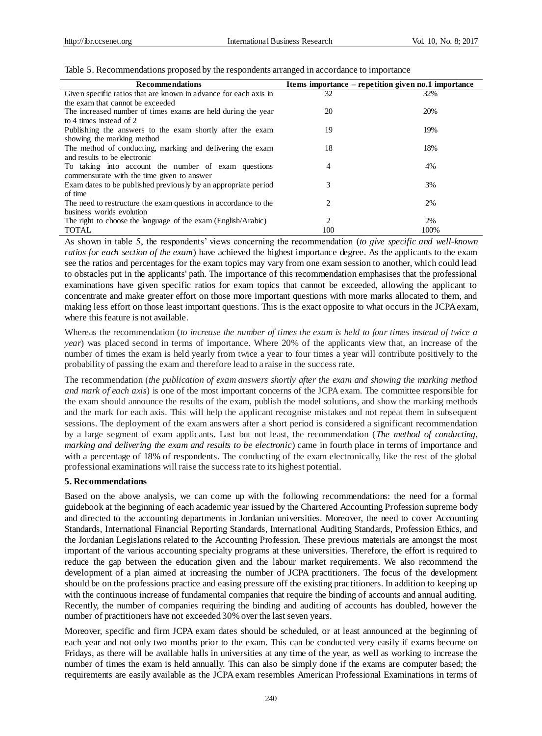| Table 5. Recommendations proposed by the respondents arranged in accordance to importance |  |  |  |  |  |  |
|-------------------------------------------------------------------------------------------|--|--|--|--|--|--|
|-------------------------------------------------------------------------------------------|--|--|--|--|--|--|

| <b>Recommendations</b>                                           |     | Items importance – repetition given no.1 importance |
|------------------------------------------------------------------|-----|-----------------------------------------------------|
| Given specific ratios that are known in advance for each axis in | 32  | 32%                                                 |
| the exam that cannot be exceeded                                 |     |                                                     |
| The increased number of times exams are held during the year     | 20  | 20%                                                 |
| to 4 times instead of 2                                          |     |                                                     |
| Publishing the answers to the exam shortly after the exam        | 19  | 19%                                                 |
| showing the marking method                                       |     |                                                     |
| The method of conducting, marking and delivering the exam        | 18  | 18%                                                 |
| and results to be electronic                                     |     |                                                     |
| To taking into account the number of exam questions              | 4   | 4%                                                  |
| commensurate with the time given to answer                       |     |                                                     |
| Exam dates to be published previously by an appropriate period   | 3   | 3%                                                  |
| of time                                                          |     |                                                     |
| The need to restructure the exam questions in accordance to the  | 2   | 2%                                                  |
| business worlds evolution                                        |     |                                                     |
| The right to choose the language of the exam (English/Arabic)    | 2   | 2%                                                  |
| <b>TOTAL</b>                                                     | 100 | 100%                                                |

As shown in table 5, the respondents' views concerning the recommendation (*to give specific and well-known ratios for each section of the exam*) have achieved the highest importance degree. As the applicants to the exam see the ratios and percentages for the exam topics may vary from one exam session to another, which could lead to obstacles put in the applicants' path. The importance of this recommendation emphasises that the professional examinations have given specific ratios for exam topics that cannot be exceeded, allowing the applicant to concentrate and make greater effort on those more important questions with more marks allocated to them, and making less effort on those least important questions. This is the exact opposite to what occurs in the JCPA exam, where this feature is not available.

Whereas the recommendation (*to increase the number of times the exam is held to four times instead of twice a year*) was placed second in terms of importance. Where 20% of the applicants view that, an increase of the number of times the exam is held yearly from twice a year to four times a year will contribute positively to the probability of passing the exam and therefore lead to a raise in the success rate.

The recommendation (*the publication of exam answers shortly after the exam and showing the marking method and mark of each axis*) is one of the most important concerns of the JCPA exam. The committee responsible for the exam should announce the results of the exam, publish the model solutions, and show the marking methods and the mark for each axis. This will help the applicant recognise mistakes and not repeat them in subsequent sessions. The deployment of the exam answers after a short period is considered a significant recommendation by a large segment of exam applicants. Last but not least, the recommendation (*The method of conducting, marking and delivering the exam and results to be electronic*) came in fourth place in terms of importance and with a percentage of 18% of respondents. The conducting of the exam electronically, like the rest of the global professional examinations will raise the success rate to its highest potential.

#### **5. Recommendations**

Based on the above analysis, we can come up with the following recommendations: the need for a formal guidebook at the beginning of each academic year issued by the Chartered Accounting Profession supreme body and directed to the accounting departments in Jordanian universities. Moreover, the need to cover Accounting Standards, International Financial Reporting Standards, International Auditing Standards, Profession Ethics, and the Jordanian Legislations related to the Accounting Profession. These previous materials are amongst the most important of the various accounting specialty programs at these universities. Therefore, the effort is required to reduce the gap between the education given and the labour market requirements. We also recommend the development of a plan aimed at increasing the number of JCPA practitioners. The focus of the development should be on the professions practice and easing pressure off the existing practitioners. In addition to keeping up with the continuous increase of fundamental companies that require the binding of accounts and annual auditing. Recently, the number of companies requiring the binding and auditing of accounts has doubled, however the number of practitioners have not exceeded 30% over the last seven years.

Moreover, specific and firm JCPA exam dates should be scheduled, or at least announced at the beginning of each year and not only two months prior to the exam. This can be conducted very easily if exams become on Fridays, as there will be available halls in universities at any time of the year, as well as working to increase the number of times the exam is held annually. This can also be simply done if the exams are computer based; the requirements are easily available as the JCPA exam resembles American Professional Examinations in terms of